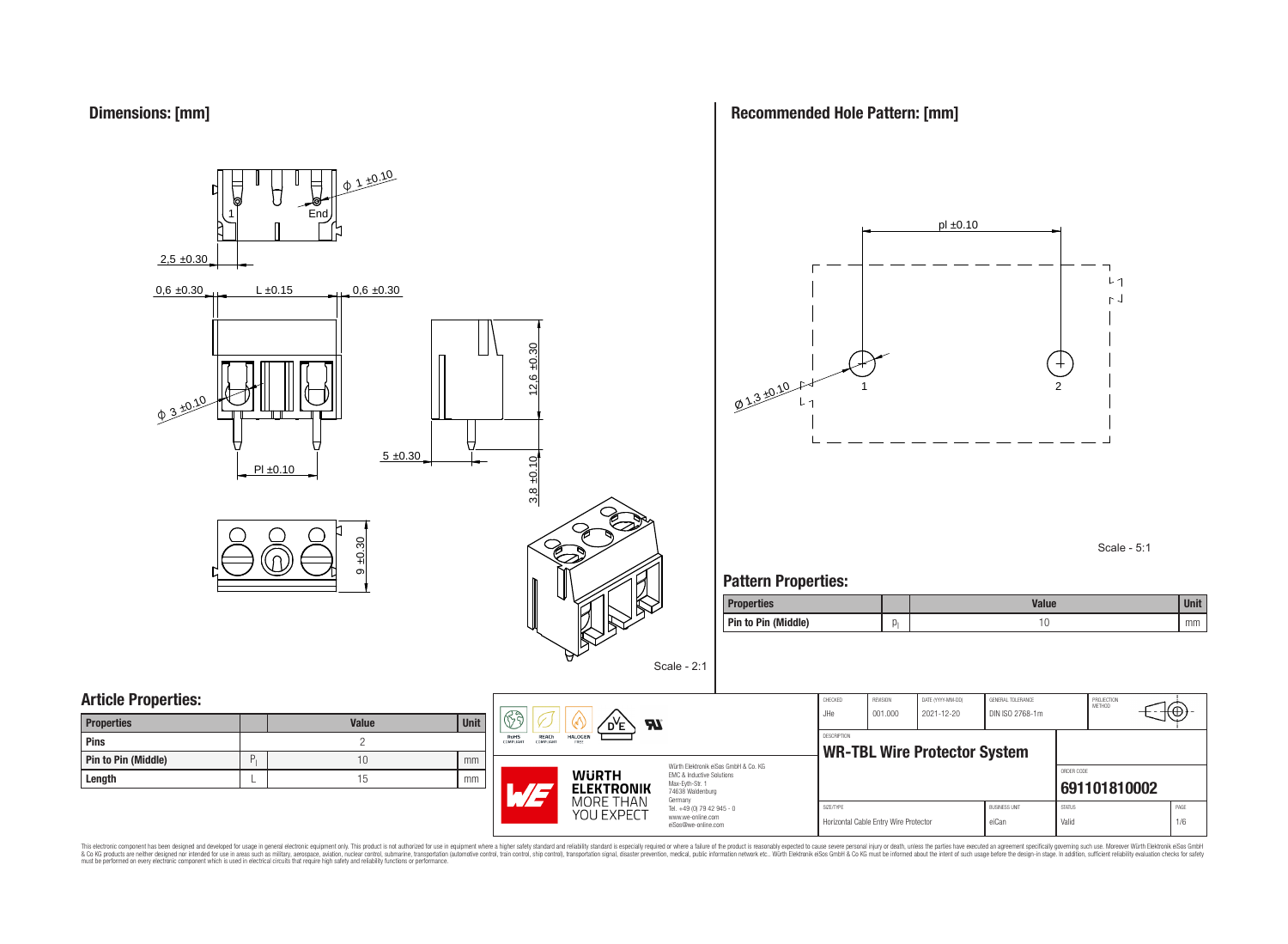



**Recommended Hole Pattern: [mm]**



Scale - 5:1

### **Pattern Properties:**

**DESCRIPTION** 

| <b>Properties</b>   |    | <b>Value</b> | <b>Unit</b> |
|---------------------|----|--------------|-------------|
| Pin to Pin (Middle) | U, | . U          | mm          |

## **Article Properties:**

| <b>Properties</b>   |   | <b>Value</b> | <b>Unit</b> |
|---------------------|---|--------------|-------------|
| <b>Pins</b>         |   |              |             |
| Pin to Pin (Middle) | D |              | mm          |
| Length              |   | 15           | mm          |



Würth Elektronik eiSos GmbH & Co. KG EMC & Inductive Solutions Max-Eyth-Str. 1 74638 Waldenburg Germany Tel. +49 (0) 79 42 945 - 0 www.we-online.com

eiSos@we-online.com

| CHECKED     | <b>REVISION</b>                       | DATE (YYYY-MM-DD)                   | GENERAL TOLERANCE      |               | PROJECTION<br>MFTHOD |      |
|-------------|---------------------------------------|-------------------------------------|------------------------|---------------|----------------------|------|
| .JHe        | 001.000                               | 2021-12-20                          | DIN ISO 2768-1m        |               |                      |      |
|             |                                       |                                     |                        |               |                      |      |
| DESCRIPTION |                                       |                                     |                        |               |                      |      |
|             |                                       | <b>WR-TBL Wire Protector System</b> |                        |               |                      |      |
|             |                                       |                                     |                        |               |                      |      |
|             |                                       |                                     |                        | ORDER CODE    |                      |      |
|             |                                       |                                     |                        |               | 691101810002         |      |
|             |                                       |                                     |                        |               |                      |      |
| SIZE/TYPE   |                                       |                                     | <b>BLISINESS LINIT</b> | <b>STATUS</b> |                      | PAGE |
|             | Horizontal Cable Entry Wire Protector |                                     | eiCan                  | Valid         |                      | 1/6  |
|             |                                       |                                     |                        |               |                      |      |

This electronic component has been designed and developed for usage in general electronic equipment only. This product is not authorized for subserved requipment where a higher selection equipment where a higher selection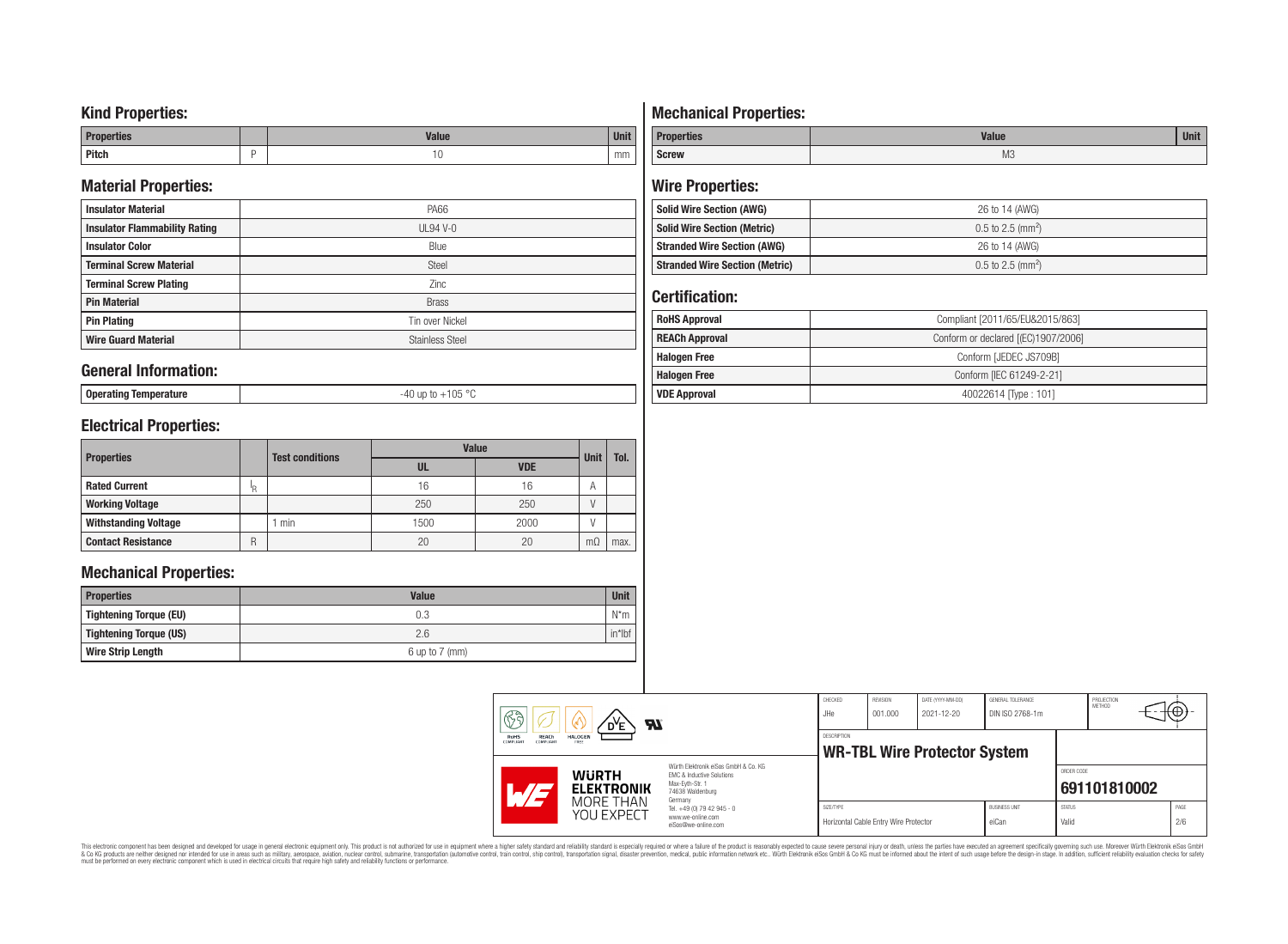### **Kind Properties:**

| <b>Properties</b> |   | <b>Moline</b><br>"dluc- | <b>Unit</b> |
|-------------------|---|-------------------------|-------------|
| <b>Pitch</b>      | - | טו                      | mm          |

### **Material Properties:**

| <b>Insulator Material</b>            | <b>PA66</b>            |
|--------------------------------------|------------------------|
| <b>Insulator Flammability Rating</b> | $UL94V-0$              |
| <b>Insulator Color</b>               | Blue                   |
| <b>Terminal Screw Material</b>       | <b>Steel</b>           |
| <b>Terminal Screw Plating</b>        | Zinc                   |
| <b>Pin Material</b>                  | <b>Brass</b>           |
| <b>Pin Plating</b>                   | Tin over Nickel        |
| <b>Wire Guard Material</b>           | <b>Stainless Steel</b> |

### **General Information:**

**Operating Temperature** -40 up to +105 °C

## **Electrical Properties:**

|                             |     | <b>Test conditions</b> | <b>Value</b> | <b>Unit</b> |           |      |
|-----------------------------|-----|------------------------|--------------|-------------|-----------|------|
| <b>Properties</b>           |     |                        | UL           | <b>VDE</b>  |           | Tol. |
| <b>Rated Current</b>        | ΙŖ. |                        | 16           | 16          | A         |      |
| <b>Working Voltage</b>      |     |                        | 250          | 250         |           |      |
| <b>Withstanding Voltage</b> |     | min                    | 1500         | 2000        |           |      |
| <b>Contact Resistance</b>   | R   |                        | 20           | 20          | $m\Omega$ | max. |

## **Mechanical Properties:**

| <b>Properties</b>        | <b>Value</b>       | <b>Unit</b> |
|--------------------------|--------------------|-------------|
| Tightening Torque (EU)   | 0.3                | $N^*m$      |
| Tightening Torque (US)   | 2.6                | $in*$ Ibf   |
| <b>Wire Strip Length</b> | $6$ up to $7$ (mm) |             |

# **Mechanical Properties:**

| <b>Properties</b> | <b>Value</b> | $\cdots$<br>Unit |
|-------------------|--------------|------------------|
| <b>Screw</b>      | M3           |                  |

# **Wire Properties:**

| <b>Solid Wire Section (AWG)</b>       | 26 to 14 (AWG)                  |
|---------------------------------------|---------------------------------|
| <b>Solid Wire Section (Metric)</b>    | $0.5$ to 2.5 (mm <sup>2</sup> ) |
| <b>Stranded Wire Section (AWG)</b>    | 26 to 14 (AWG)                  |
| <b>Stranded Wire Section (Metric)</b> | $0.5$ to 2.5 (mm <sup>2</sup> ) |

## **Certification:**

| <b>RoHS Approval</b>  | Compliant [2011/65/EU&2015/863]     |  |  |
|-----------------------|-------------------------------------|--|--|
| <b>REACh Approval</b> | Conform or declared [(EC)1907/2006] |  |  |
| <b>Halogen Free</b>   | Conform [JEDEC JS709B]              |  |  |
| <b>Halogen Free</b>   | Conform [IEC 61249-2-21]            |  |  |
| <b>VDE Approval</b>   | 40022614 Type: 101]                 |  |  |

| 63<br>$\boldsymbol{\mathcal{H}}$<br>D <sup>Y</sup> E<br>RoHS<br><b>HALOGEN</b><br>REACh<br>FREE<br>COMPLIANT<br>COMPLIANT |                                   |                                                                                                                     | CHECKED<br>JHe     | REVISION<br>001.000                   | DATE (YYYY-MM-DD)<br>$2021 - 12 - 20$ | GENERAL TOLERANCE<br>DIN ISO 2768-1m |                        | PROJECTION<br>METHOD | π⊕≁         |
|---------------------------------------------------------------------------------------------------------------------------|-----------------------------------|---------------------------------------------------------------------------------------------------------------------|--------------------|---------------------------------------|---------------------------------------|--------------------------------------|------------------------|----------------------|-------------|
|                                                                                                                           |                                   |                                                                                                                     | <b>DESCRIPTION</b> |                                       | <b>WR-TBL Wire Protector System</b>   |                                      |                        |                      |             |
| <b>''/a</b>                                                                                                               | <b>WURTH</b><br><b>ELEKTRONIK</b> | Würth Elektronik eiSos GmbH & Co. KG<br>EMC & Inductive Solutions<br>Max-Evth-Str. 1<br>74638 Waldenburg<br>Germany |                    |                                       |                                       |                                      | ORDER CODE             | 691101810002         |             |
|                                                                                                                           | MORE THAN<br>YOU EXPECT           | Tel. +49 (0) 79 42 945 - 0<br>www.we-online.com<br>eiSos@we-online.com                                              | SIZE/TYPE          | Horizontal Cable Entry Wire Protector |                                       | <b>BUSINESS UNIT</b><br>eiCan        | <b>STATUS</b><br>Valid |                      | PAGE<br>2/6 |

This electronic component has been designed and developed for usage in general electronic equipment only. This product is not authorized for subserved requipment where a higher selection equipment where a higher selection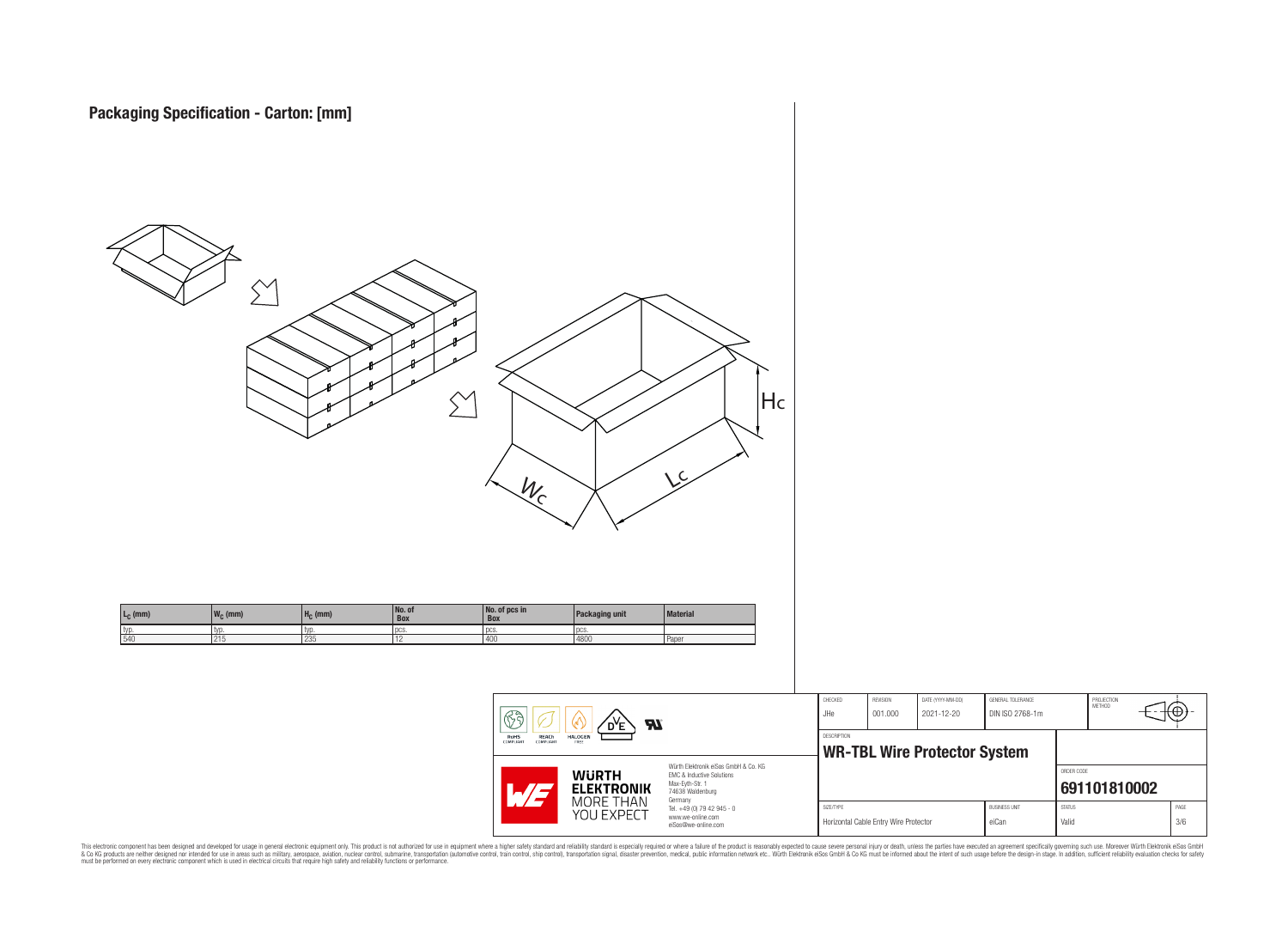

This electronic component has been designed and developed for usage in general electronic equipment only. This product is not authorized for subserved requipment where a higher selection equipment where a higher selection

PROJECTION<br>METHOD

ю

**[691101810002](https://www.we-online.com/catalog/en/article/691101810002)**

ORDER CODE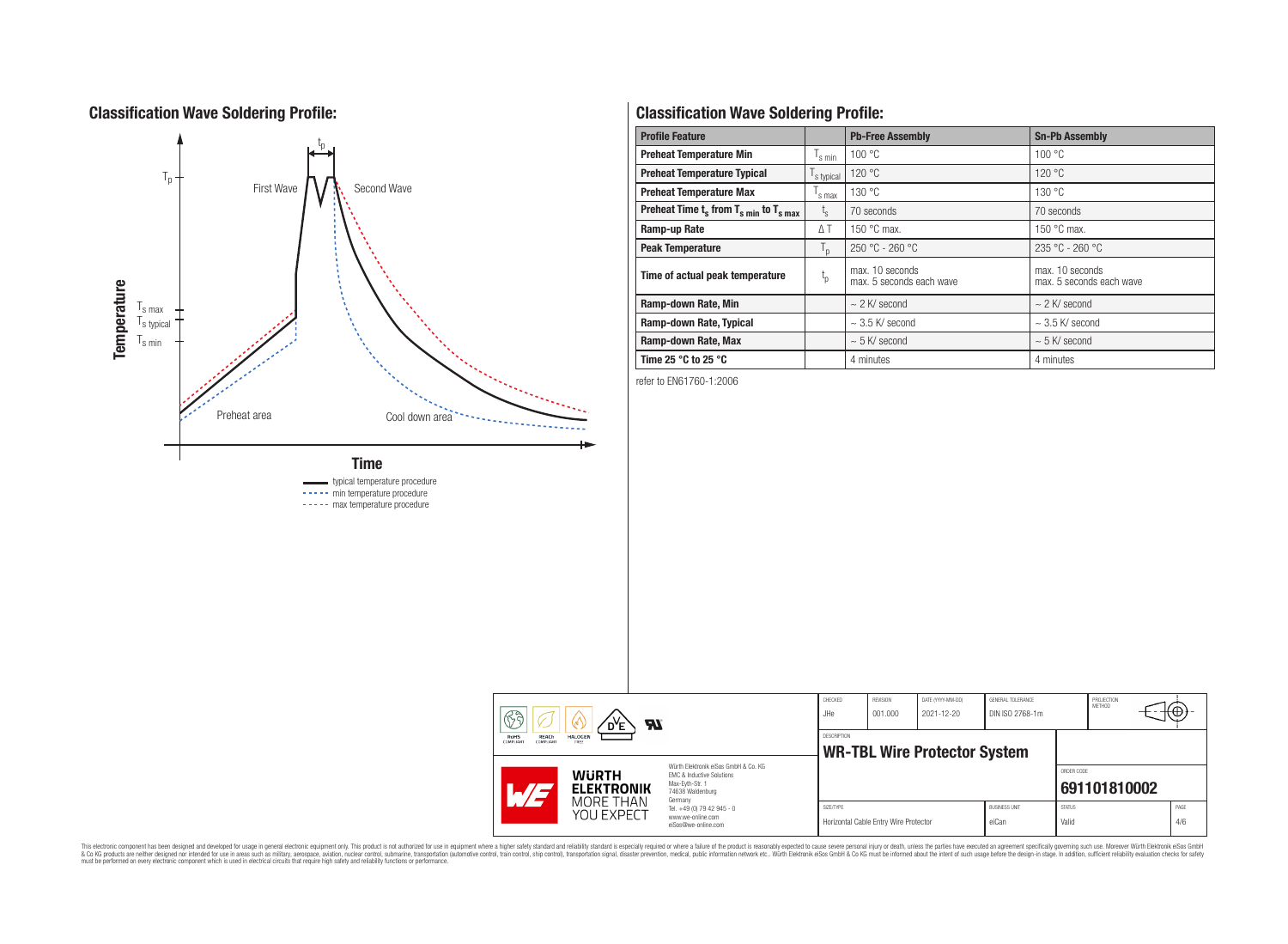## **Classification Wave Soldering Profile:**



**Classification Wave Soldering Profile:**

| <b>Profile Feature</b>                             |                  | <b>Pb-Free Assembly</b>                     | <b>Sn-Pb Assembly</b>                       |
|----------------------------------------------------|------------------|---------------------------------------------|---------------------------------------------|
| <b>Preheat Temperature Min</b>                     | s min            | 100 °C                                      | 100 °C                                      |
| <b>Preheat Temperature Typical</b>                 | s typical        | 120 °C                                      | 120 °C                                      |
| <b>Preheat Temperature Max</b>                     | s max            | 130 °C                                      | 130 °C                                      |
| Preheat Time $t_s$ from $T_{s,min}$ to $T_{s,max}$ | $t_{\rm s}$      | 70 seconds                                  | 70 seconds                                  |
| Ramp-up Rate                                       | $\Delta T$       | 150 $\degree$ C max.                        | 150 $\degree$ C max.                        |
| <b>Peak Temperature</b>                            | $T_{\mathsf{D}}$ | $250 °C - 260 °C$                           | $235 °C - 260 °C$                           |
| Time of actual peak temperature                    | $t_{p}$          | max. 10 seconds<br>max. 5 seconds each wave | max. 10 seconds<br>max. 5 seconds each wave |
| Ramp-down Rate, Min                                |                  | $\sim$ 2 K/ second                          | $\sim$ 2 K/ second                          |
| Ramp-down Rate, Typical                            |                  | $\sim$ 3.5 K/ second                        | $\sim$ 3.5 K/ second                        |
| Ramp-down Rate, Max                                |                  | $\sim$ 5 K/ second                          | $\sim$ 5 K/ second                          |
| Time 25 $^{\circ}$ C to 25 $^{\circ}$ C            |                  | 4 minutes                                   | 4 minutes                                   |

refer to EN61760-1:2006

|  | 63<br>dУE<br>Яľ<br><b>REACh</b><br><b>RoHS</b><br><b>HALOGEN</b><br><b>COMPLIANT</b><br><b>COMPLIANT</b><br>FREE |                                                                                                                     | CHECKED<br>JHe     | REVISION<br>DATE (YYYY-MM-DD)<br>GENERAL TOLERANCE<br>001.000<br>2021-12-20<br>DIN ISO 2768-1m |  |                               | PROJECTION<br>METHOD   |              |             |
|--|------------------------------------------------------------------------------------------------------------------|---------------------------------------------------------------------------------------------------------------------|--------------------|------------------------------------------------------------------------------------------------|--|-------------------------------|------------------------|--------------|-------------|
|  |                                                                                                                  |                                                                                                                     | <b>DESCRIPTION</b> | <b>WR-TBL Wire Protector System</b>                                                            |  |                               |                        |              |             |
|  | <b>WURTH</b><br><b>ELEKTRONIK</b><br>$\overline{\phantom{a}}$                                                    | Würth Flektronik eiSos GmbH & Co. KG<br>FMC & Inductive Solutions<br>Max-Evth-Str. 1<br>74638 Waldenburg<br>Germany |                    |                                                                                                |  |                               | ORDER CODE             | 691101810002 |             |
|  | MORE THAN<br>YOU EXPECT                                                                                          | Tel. +49 (0) 79 42 945 - 0<br>www.we-online.com<br>eiSos@we-online.com                                              | SIZE/TYPE          | Horizontal Cable Entry Wire Protector                                                          |  | <b>BUSINESS UNIT</b><br>eiCan | <b>STATUS</b><br>Valid |              | PAGE<br>4/6 |

This electronic component has been designed and developed for usage in general electronic equipment only. This product is not authorized for subserved requipment where a higher selection equipment where a higher selection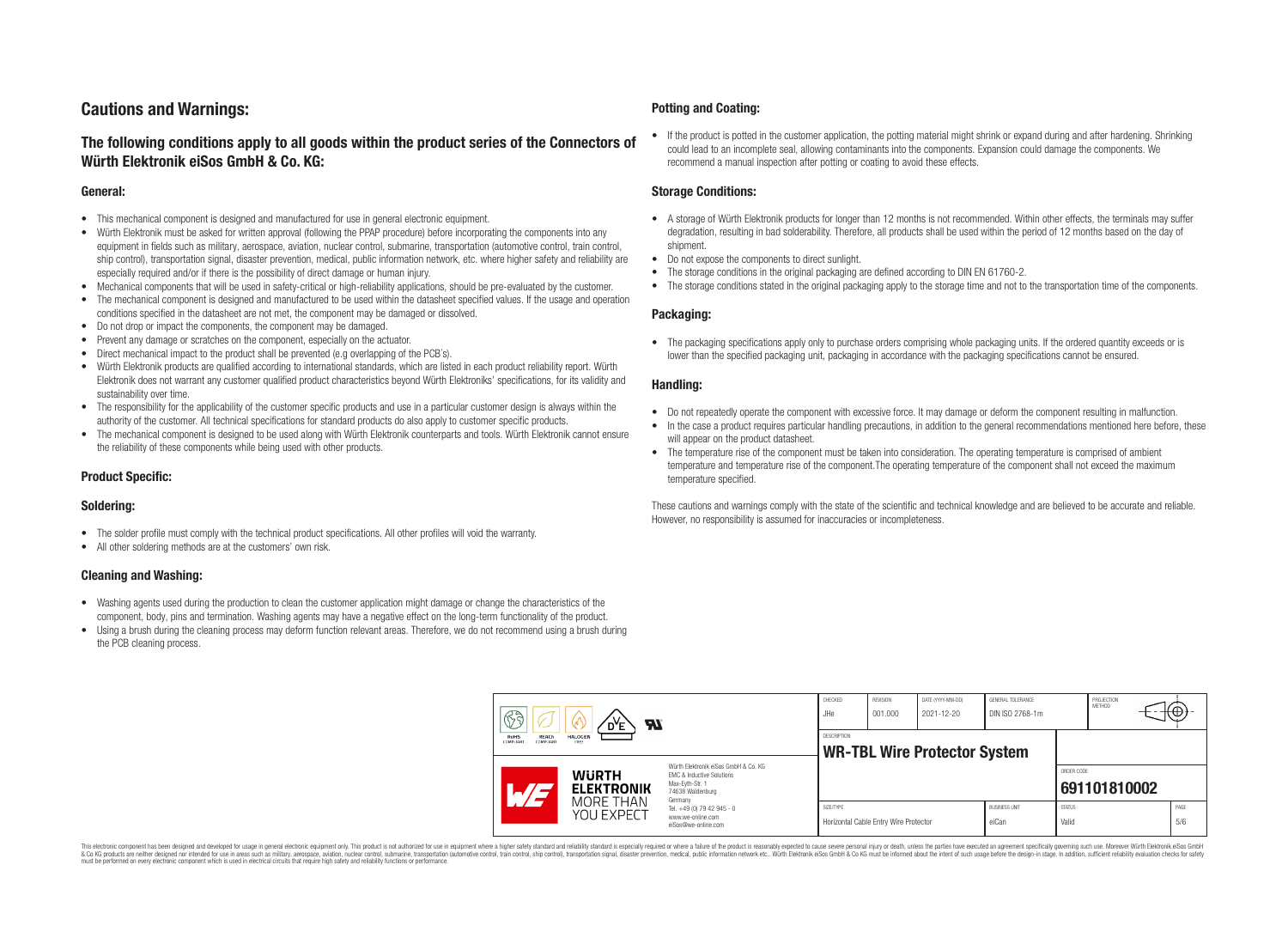## **Cautions and Warnings:**

### **The following conditions apply to all goods within the product series of the Connectors of Würth Elektronik eiSos GmbH & Co. KG:**

#### **General:**

- This mechanical component is designed and manufactured for use in general electronic equipment.
- Würth Elektronik must be asked for written approval (following the PPAP procedure) before incorporating the components into any equipment in fields such as military, aerospace, aviation, nuclear control, submarine, transportation (automotive control, train control, ship control), transportation signal, disaster prevention, medical, public information network, etc. where higher safety and reliability are especially required and/or if there is the possibility of direct damage or human injury.
- Mechanical components that will be used in safety-critical or high-reliability applications, should be pre-evaluated by the customer.
- The mechanical component is designed and manufactured to be used within the datasheet specified values. If the usage and operation conditions specified in the datasheet are not met, the component may be damaged or dissolved.
- Do not drop or impact the components, the component may be damaged.
- Prevent any damage or scratches on the component, especially on the actuator.
- Direct mechanical impact to the product shall be prevented (e.g overlapping of the PCB's).
- Würth Elektronik products are qualified according to international standards, which are listed in each product reliability report. Würth Elektronik does not warrant any customer qualified product characteristics beyond Würth Elektroniks' specifications, for its validity and sustainability over time.
- The responsibility for the applicability of the customer specific products and use in a particular customer design is always within the authority of the customer. All technical specifications for standard products do also apply to customer specific products.
- The mechanical component is designed to be used along with Würth Elektronik counterparts and tools. Würth Elektronik cannot ensure the reliability of these components while being used with other products.

#### **Product Specific:**

#### **Soldering:**

- The solder profile must comply with the technical product specifications. All other profiles will void the warranty.
- All other soldering methods are at the customers' own risk.

#### **Cleaning and Washing:**

- Washing agents used during the production to clean the customer application might damage or change the characteristics of the component, body, pins and termination. Washing agents may have a negative effect on the long-term functionality of the product.
- Using a brush during the cleaning process may deform function relevant areas. Therefore, we do not recommend using a brush during the PCB cleaning process.

#### **Potting and Coating:**

• If the product is potted in the customer application, the potting material might shrink or expand during and after hardening. Shrinking could lead to an incomplete seal, allowing contaminants into the components. Expansion could damage the components. We recommend a manual inspection after potting or coating to avoid these effects.

#### **Storage Conditions:**

- A storage of Würth Elektronik products for longer than 12 months is not recommended. Within other effects, the terminals may suffer degradation, resulting in bad solderability. Therefore, all products shall be used within the period of 12 months based on the day of shipment.
- Do not expose the components to direct sunlight.
- The storage conditions in the original packaging are defined according to DIN EN 61760-2.
- The storage conditions stated in the original packaging apply to the storage time and not to the transportation time of the components.

#### **Packaging:**

• The packaging specifications apply only to purchase orders comprising whole packaging units. If the ordered quantity exceeds or is lower than the specified packaging unit, packaging in accordance with the packaging specifications cannot be ensured.

#### **Handling:**

- Do not repeatedly operate the component with excessive force. It may damage or deform the component resulting in malfunction.
- In the case a product requires particular handling precautions, in addition to the general recommendations mentioned here before, these will appear on the product datasheet
- The temperature rise of the component must be taken into consideration. The operating temperature is comprised of ambient temperature and temperature rise of the component.The operating temperature of the component shall not exceed the maximum temperature specified.

These cautions and warnings comply with the state of the scientific and technical knowledge and are believed to be accurate and reliable. However, no responsibility is assumed for inaccuracies or incompleteness.

| B<br><b>Al</b>                                                           |                                                |                                                                                                                                                                                                          | CHECKED<br>JHe | REVISION<br>001.000                   | DATE (YYYY-MM-DD)<br>2021-12-20 | GENERAL TOLERANCE<br>DIN ISO 2768-1m |                        | PROJECTION<br>METHOD | (⊕          |
|--------------------------------------------------------------------------|------------------------------------------------|----------------------------------------------------------------------------------------------------------------------------------------------------------------------------------------------------------|----------------|---------------------------------------|---------------------------------|--------------------------------------|------------------------|----------------------|-------------|
| RoHS<br><b>HALOGEN</b><br><b>REACh</b><br>COMPLIANT<br>COMPLIANT<br>FREE |                                                | <b>DESCRIPTION</b><br><b>WR-TBL Wire Protector System</b>                                                                                                                                                |                |                                       |                                 |                                      |                        |                      |             |
|                                                                          | <b>WURTH</b><br><b>ELEKTRONIK</b><br>MORE THAN | Würth Elektronik eiSos GmbH & Co. KG<br><b>EMC &amp; Inductive Solutions</b><br>Max-Eyth-Str. 1<br>74638 Waldenburg<br>Germany<br>Tel. +49 (0) 79 42 945 - 0<br>www.we-online.com<br>eiSos@we-online.com |                |                                       |                                 |                                      | ORDER CODE             | 691101810002         |             |
|                                                                          | YOU EXPECT                                     |                                                                                                                                                                                                          | SIZE/TYPE      | Horizontal Cable Entry Wire Protector |                                 | <b>BUSINESS UNIT</b><br>eiCan        | <b>STATUS</b><br>Valid |                      | PAGE<br>5/6 |

This electronic component has been designed and developed for usage in general electronic equipment only. This product is not authorized for use in equipment where a higher safety standard and reliability standard si espec & Ook product a label and the membed of the seasuch as marked and as which such a membed and the such assume that income in the seasuch and the simulation and the such assume that include to the such a membed and the such